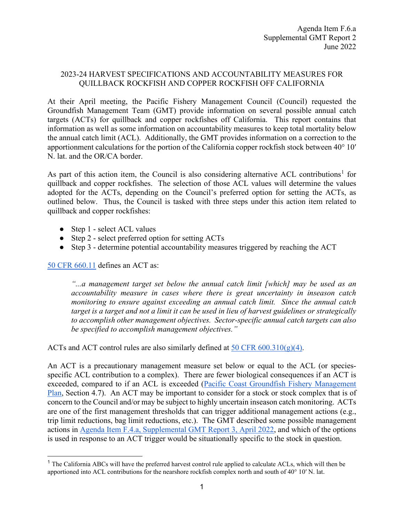#### 2023-24 HARVEST SPECIFICATIONS AND ACCOUNTABILITY MEASURES FOR QUILLBACK ROCKFISH AND COPPER ROCKFISH OFF CALIFORNIA

At their April meeting, the Pacific Fishery Management Council (Council) requested the Groundfish Management Team (GMT) provide information on several possible annual catch targets (ACTs) for quillback and copper rockfishes off California. This report contains that information as well as some information on accountability measures to keep total mortality below the annual catch limit (ACL). Additionally, the GMT provides information on a correction to the apportionment calculations for the portion of the California copper rockfish stock between 40° 10′ N. lat. and the OR/CA border.

As part of this action item, the Council is also considering alternative ACL contributions<sup>[1](#page-0-0)</sup> for quillback and copper rockfishes. The selection of those ACL values will determine the values adopted for the ACTs, depending on the Council's preferred option for setting the ACTs, as outlined below. Thus, the Council is tasked with three steps under this action item related to quillback and copper rockfishes:

- Step 1 select ACL values
- Step 2 select preferred option for setting ACTs
- Step 3 determine potential accountability measures triggered by reaching the ACT

[50 CFR 660.11](https://www.ecfr.gov/current/title-50/chapter-VI/part-660#p-660.11(Annual%20Catch%20Target%20(ACT))) defines an ACT as:

*"...a management target set below the annual catch limit [which] may be used as an accountability measure in cases where there is great uncertainty in inseason catch monitoring to ensure against exceeding an annual catch limit. Since the annual catch target is a target and not a limit it can be used in lieu of harvest guidelines or strategically to accomplish other management objectives. Sector-specific annual catch targets can also be specified to accomplish management objectives."*

ACTs and ACT control rules are also similarly defined at  $50 \text{ CFR } 600.310(g)(4)$ .

An ACT is a precautionary management measure set below or equal to the ACL (or speciesspecific ACL contribution to a complex). There are fewer biological consequences if an ACT is exceeded, compared to if an ACL is exceeded [\(Pacific Coast Groundfish Fishery Management](https://www.pcouncil.org/documents/2016/08/pacific-coast-groundfish-fishery-management-plan.pdf/)  [Plan,](https://www.pcouncil.org/documents/2016/08/pacific-coast-groundfish-fishery-management-plan.pdf/) Section 4.7). An ACT may be important to consider for a stock or stock complex that is of concern to the Council and/or may be subject to highly uncertain inseason catch monitoring. ACTs are one of the first management thresholds that can trigger additional management actions (e.g., trip limit reductions, bag limit reductions, etc.). The GMT described some possible management actions in [Agenda Item F.4.a, Supplemental GMT Report 3, April 2022,](https://www.pcouncil.org/documents/2022/04/f-4-a-supplemental-gmt-report-3-action-items-2-11.pdf/) and which of the options is used in response to an ACT trigger would be situationally specific to the stock in question.

<span id="page-0-0"></span><sup>&</sup>lt;sup>1</sup> The California ABCs will have the preferred harvest control rule applied to calculate ACLs, which will then be apportioned into ACL contributions for the nearshore rockfish complex north and south of 40° 10′ N. lat.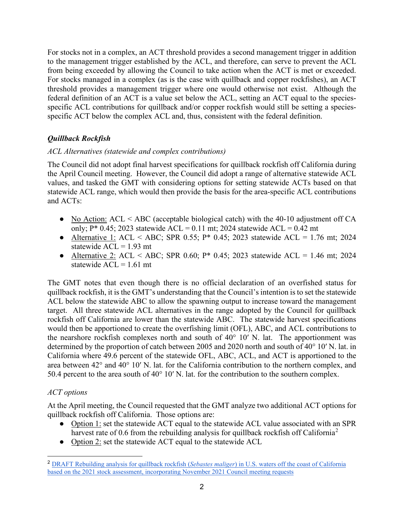For stocks not in a complex, an ACT threshold provides a second management trigger in addition to the management trigger established by the ACL, and therefore, can serve to prevent the ACL from being exceeded by allowing the Council to take action when the ACT is met or exceeded. For stocks managed in a complex (as is the case with quillback and copper rockfishes), an ACT threshold provides a management trigger where one would otherwise not exist. Although the federal definition of an ACT is a value set below the ACL, setting an ACT equal to the speciesspecific ACL contributions for quillback and/or copper rockfish would still be setting a speciesspecific ACT below the complex ACL and, thus, consistent with the federal definition.

# *Quillback Rockfish*

### *ACL Alternatives (statewide and complex contributions)*

The Council did not adopt final harvest specifications for quillback rockfish off California during the April Council meeting. However, the Council did adopt a range of alternative statewide ACL values, and tasked the GMT with considering options for setting statewide ACTs based on that statewide ACL range, which would then provide the basis for the area-specific ACL contributions and ACTs:

- No Action:  $ACL < ABC$  (acceptable biological catch) with the 40-10 adjustment off CA only;  $P^*$  0.45; 2023 statewide ACL = 0.11 mt; 2024 statewide ACL = 0.42 mt
- Alternative 1: ACL < ABC; SPR 0.55;  $P^*$  0.45; 2023 statewide ACL = 1.76 mt; 2024 statewide  $ACL = 1.93$  mt
- Alternative 2: ACL < ABC; SPR 0.60;  $P^*$  0.45; 2023 statewide ACL = 1.46 mt; 2024 statewide  $ACL = 1.61$  mt

The GMT notes that even though there is no official declaration of an overfished status for quillback rockfish, it is the GMT's understanding that the Council's intention is to set the statewide ACL below the statewide ABC to allow the spawning output to increase toward the management target. All three statewide ACL alternatives in the range adopted by the Council for quillback rockfish off California are lower than the statewide ABC. The statewide harvest specifications would then be apportioned to create the overfishing limit (OFL), ABC, and ACL contributions to the nearshore rockfish complexes north and south of 40° 10′ N. lat. The apportionment was determined by the proportion of catch between 2005 and 2020 north and south of 40° 10′ N. lat. in California where 49.6 percent of the statewide OFL, ABC, ACL, and ACT is apportioned to the area between 42° and 40° 10′ N. lat. for the California contribution to the northern complex, and 50.4 percent to the area south of 40° 10′ N. lat. for the contribution to the southern complex.

## *ACT options*

At the April meeting, the Council requested that the GMT analyze two additional ACT options for quillback rockfish off California. Those options are:

- Option 1: set the statewide ACT equal to the statewide ACL value associated with an SPR harvest rate of 0.6 from the rebuilding analysis for quillback rockfish off California<sup>[2](#page-1-0)</sup>
- Option 2: set the statewide ACT equal to the statewide ACL

<span id="page-1-0"></span><sup>2</sup> [DRAFT Rebuilding analysis for quillback rockfish \(](https://www.pcouncil.org/documents/2022/01/draft-rebuilding-analysis-for-quillback-rockfish-sebastes-maliger-in-u-s-waters-off-the-coast-of-california-based-on-the-2021-stock-assessment-incorporating-november-2021-council-meeting-requests.pdf/)*[Sebastes maliger](https://www.pcouncil.org/documents/2022/01/draft-rebuilding-analysis-for-quillback-rockfish-sebastes-maliger-in-u-s-waters-off-the-coast-of-california-based-on-the-2021-stock-assessment-incorporating-november-2021-council-meeting-requests.pdf/)*[\) in U.S. waters off the coast of California](https://www.pcouncil.org/documents/2022/01/draft-rebuilding-analysis-for-quillback-rockfish-sebastes-maliger-in-u-s-waters-off-the-coast-of-california-based-on-the-2021-stock-assessment-incorporating-november-2021-council-meeting-requests.pdf/)  [based on the 2021 stock assessment, incorporating November 2021 Council meeting requests](https://www.pcouncil.org/documents/2022/01/draft-rebuilding-analysis-for-quillback-rockfish-sebastes-maliger-in-u-s-waters-off-the-coast-of-california-based-on-the-2021-stock-assessment-incorporating-november-2021-council-meeting-requests.pdf/)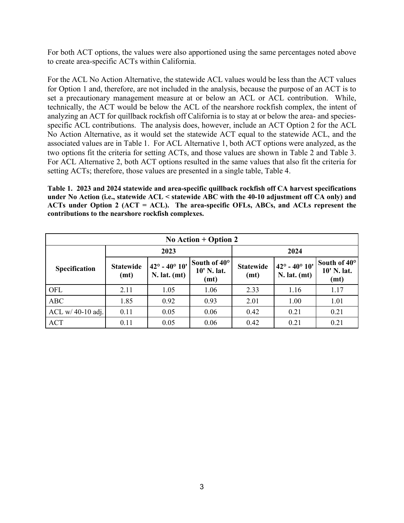For both ACT options, the values were also apportioned using the same percentages noted above to create area-specific ACTs within California.

For the ACL No Action Alternative, the statewide ACL values would be less than the ACT values for Option 1 and, therefore, are not included in the analysis, because the purpose of an ACT is to set a precautionary management measure at or below an ACL or ACL contribution. While, technically, the ACT would be below the ACL of the nearshore rockfish complex, the intent of analyzing an ACT for quillback rockfish off California is to stay at or below the area- and speciesspecific ACL contributions. The analysis does, however, include an ACT Option 2 for the ACL No Action Alternative, as it would set the statewide ACT equal to the statewide ACL, and the associated values are in [Table 1.](#page-2-0) For ACL Alternative 1, both ACT options were analyzed, as the two options fit the criteria for setting ACTs, and those values are shown in [Table 2](#page-3-0) and [Table 3.](#page-3-1) For ACL Alternative 2, both ACT options resulted in the same values that also fit the criteria for setting ACTs; therefore, those values are presented in a single table, [Table 4.](#page-3-2)

<span id="page-2-0"></span>**Table 1. 2023 and 2024 statewide and area-specific quillback rockfish off CA harvest specifications under No Action (i.e., statewide ACL < statewide ABC with the 40-10 adjustment off CA only) and ACTs under Option 2 (ACT = ACL). The area-specific OFLs, ABCs, and ACLs represent the contributions to the nearshore rockfish complexes.**

| No Action $+$ Option 2 |                          |                                                   |                                     |                          |                                                   |                                     |
|------------------------|--------------------------|---------------------------------------------------|-------------------------------------|--------------------------|---------------------------------------------------|-------------------------------------|
|                        | 2023                     |                                                   |                                     | 2024                     |                                                   |                                     |
| Specification          | <b>Statewide</b><br>(mt) | $42^{\circ} - 40^{\circ} 10'$<br>$N.$ lat. $(mt)$ | South of 40°<br>10' N. lat.<br>(mt) | <b>Statewide</b><br>(mt) | $42^{\circ} - 40^{\circ} 10'$<br>$N.$ lat. $(mt)$ | South of 40°<br>10' N. lat.<br>(mt) |
| OFL                    | 2.11                     | 1.05                                              | 1.06                                | 2.33                     | 1.16                                              | 1.17                                |
| <b>ABC</b>             | 1.85                     | 0.92                                              | 0.93                                | 2.01                     | 1.00                                              | 1.01                                |
| ACL w/ 40-10 adj.      | 0.11                     | 0.05                                              | 0.06                                | 0.42                     | 0.21                                              | 0.21                                |
| <b>ACT</b>             | 0.11                     | 0.05                                              | 0.06                                | 0.42                     | 0.21                                              | 0.21                                |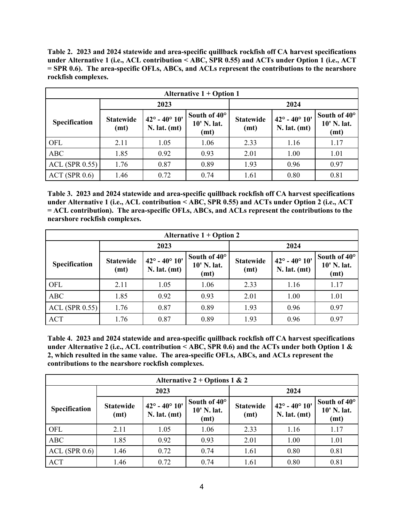<span id="page-3-0"></span>**Table 2. 2023 and 2024 statewide and area-specific quillback rockfish off CA harvest specifications under Alternative 1 (i.e., ACL contribution < ABC, SPR 0.55) and ACTs under Option 1 (i.e., ACT = SPR 0.6). The area-specific OFLs, ABCs, and ACLs represent the contributions to the nearshore rockfish complexes.** 

| Alternative $1 +$ Option 1 |                          |                                                   |                                     |                          |                                              |                                     |
|----------------------------|--------------------------|---------------------------------------------------|-------------------------------------|--------------------------|----------------------------------------------|-------------------------------------|
|                            | 2023                     |                                                   |                                     | 2024                     |                                              |                                     |
| Specification              | <b>Statewide</b><br>(mt) | $42^{\circ} - 40^{\circ} 10'$<br>$N.$ lat. $(mt)$ | South of 40°<br>10' N. lat.<br>(mt) | <b>Statewide</b><br>(mt) | $142^\circ - 40^\circ 10'$<br>$N.$ lat. (mt) | South of 40°<br>10' N. lat.<br>(mt) |
| OFL                        | 2.11                     | 1.05                                              | 1.06                                | 2.33                     | 1.16                                         | 1.17                                |
| <b>ABC</b>                 | 1.85                     | 0.92                                              | 0.93                                | 2.01                     | 1.00                                         | 1.01                                |
| ACL(SPR 0.55)              | 1.76                     | 0.87                                              | 0.89                                | 1.93                     | 0.96                                         | 0.97                                |
| ACT(SPR 0.6)               | 1.46                     | 0.72                                              | 0.74                                | 1.61                     | 0.80                                         | 0.81                                |

<span id="page-3-1"></span>**Table 3. 2023 and 2024 statewide and area-specific quillback rockfish off CA harvest specifications under Alternative 1 (i.e., ACL contribution < ABC, SPR 0.55) and ACTs under Option 2 (i.e., ACT = ACL contribution). The area-specific OFLs, ABCs, and ACLs represent the contributions to the nearshore rockfish complexes.** 

| Alternative $1 +$ Option 2 |                          |                                                   |                                     |                          |                                                   |                                     |
|----------------------------|--------------------------|---------------------------------------------------|-------------------------------------|--------------------------|---------------------------------------------------|-------------------------------------|
|                            | 2023                     |                                                   |                                     | 2024                     |                                                   |                                     |
| Specification              | <b>Statewide</b><br>(mt) | $42^{\circ} - 40^{\circ} 10'$<br>$N.$ lat. $(mt)$ | South of 40°<br>10' N. lat.<br>(mt) | <b>Statewide</b><br>(mt) | $42^{\circ} - 40^{\circ} 10'$<br>$N.$ lat. $(mt)$ | South of 40°<br>10' N. lat.<br>(mt) |
| OFL                        | 2.11                     | 1.05                                              | 1.06                                | 2.33                     | 1.16                                              | 1.17                                |
| <b>ABC</b>                 | 1.85                     | 0.92                                              | 0.93                                | 2.01                     | 1.00                                              | 1.01                                |
| $ACL$ (SPR 0.55)           | 1.76                     | 0.87                                              | 0.89                                | 1.93                     | 0.96                                              | 0.97                                |
| <b>ACT</b>                 | 1.76                     | 0.87                                              | 0.89                                | 1.93                     | 0.96                                              | 0.97                                |

<span id="page-3-2"></span>**Table 4. 2023 and 2024 statewide and area-specific quillback rockfish off CA harvest specifications under Alternative 2 (i.e., ACL contribution < ABC, SPR 0.6) and the ACTs under both Option 1 & 2, which resulted in the same value. The area-specific OFLs, ABCs, and ACLs represent the contributions to the nearshore rockfish complexes.** 

| Alternative $2 + \text{Options } 1 \& 2$ |                          |                                                   |                                     |                          |                                                   |                                     |
|------------------------------------------|--------------------------|---------------------------------------------------|-------------------------------------|--------------------------|---------------------------------------------------|-------------------------------------|
|                                          | 2023                     |                                                   |                                     | 2024                     |                                                   |                                     |
| Specification                            | <b>Statewide</b><br>(mt) | $42^{\circ} - 40^{\circ} 10'$<br>$N.$ lat. $(mt)$ | South of 40°<br>10' N. lat.<br>(mt) | <b>Statewide</b><br>(mt) | $42^{\circ} - 40^{\circ} 10'$<br>$N.$ lat. $(mt)$ | South of 40°<br>10' N. lat.<br>(mt) |
| OFL                                      | 2.11                     | 1.05                                              | 1.06                                | 2.33                     | 1.16                                              | 1.17                                |
| <b>ABC</b>                               | 1.85                     | 0.92                                              | 0.93                                | 2.01                     | 1.00                                              | 1.01                                |
| $ACL$ (SPR 0.6)                          | 1.46                     | 0.72                                              | 0.74                                | 1.61                     | 0.80                                              | 0.81                                |
| <b>ACT</b>                               | 1.46                     | 0.72                                              | 0.74                                | 1.61                     | 0.80                                              | 0.81                                |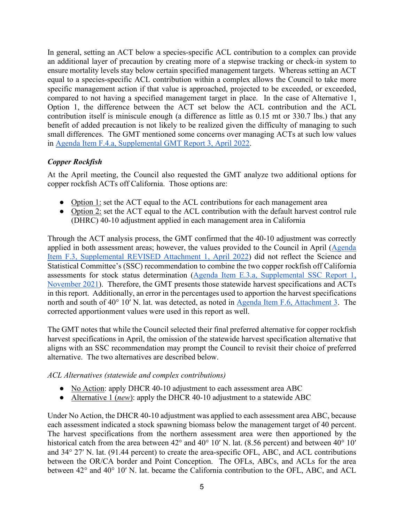In general, setting an ACT below a species-specific ACL contribution to a complex can provide an additional layer of precaution by creating more of a stepwise tracking or check-in system to ensure mortality levels stay below certain specified management targets. Whereas setting an ACT equal to a species-specific ACL contribution within a complex allows the Council to take more specific management action if that value is approached, projected to be exceeded, or exceeded, compared to not having a specified management target in place. In the case of Alternative 1, Option 1, the difference between the ACT set below the ACL contribution and the ACL contribution itself is miniscule enough (a difference as little as 0.15 mt or 330.7 lbs.) that any benefit of added precaution is not likely to be realized given the difficulty of managing to such small differences. The GMT mentioned some concerns over managing ACTs at such low values in [Agenda Item F.4.a, Supplemental GMT Report 3, April 2022.](https://www.pcouncil.org/documents/2022/04/f-4-a-supplemental-gmt-report-3-action-items-2-11.pdf/) 

## *Copper Rockfish*

At the April meeting, the Council also requested the GMT analyze two additional options for copper rockfish ACTs off California. Those options are:

- Option 1: set the ACT equal to the ACL contributions for each management area
- Option 2: set the ACT equal to the ACL contribution with the default harvest control rule (DHRC) 40-10 adjustment applied in each management area in California

Through the ACT analysis process, the GMT confirmed that the 40-10 adjustment was correctly applied in both assessment areas; however, the values provided to the Council in April [\(Agenda](https://www.pcouncil.org/documents/2022/03/f-3-attachment-1-an-excerpt-of-the-analytical-document-with-the-description-of-2023-and-2024-harvest-specifications-and-the-biological-impacts-associated-with-alternative-harvest-specifications-unde.pdf/)  Item F.3, [Supplemental REVISED Attachment 1, April 2022\)](https://www.pcouncil.org/documents/2022/03/f-3-attachment-1-an-excerpt-of-the-analytical-document-with-the-description-of-2023-and-2024-harvest-specifications-and-the-biological-impacts-associated-with-alternative-harvest-specifications-unde.pdf/) did not reflect the Science and Statistical Committee's (SSC) recommendation to combine the two copper rockfish off California assessments for stock status determination [\(Agenda Item E.3.a, Supplemental SSC Report 1,](https://www.pcouncil.org/documents/2021/11/e-3-a-supplemental-ssc-report-1-2.pdf/)  [November 2021\)](https://www.pcouncil.org/documents/2021/11/e-3-a-supplemental-ssc-report-1-2.pdf/). Therefore, the GMT presents those statewide harvest specifications and ACTs in this report. Additionally, an error in the percentages used to apportion the harvest specifications north and south of 40° 10′ N. lat. was detected, as noted in [Agenda Item F.6, Attachment 3.](https://www.pcouncil.org/documents/2022/05/f-6-attachment-3-a-correction-to-the-estimated-apportionment-of-copper-rockfish-in-california-north-and-south-of-4010-n-lat.pdf/) The corrected apportionment values were used in this report as well.

The GMT notes that while the Council selected their final preferred alternative for copper rockfish harvest specifications in April, the omission of the statewide harvest specification alternative that aligns with an SSC recommendation may prompt the Council to revisit their choice of preferred alternative. The two alternatives are described below.

### *ACL Alternatives (statewide and complex contributions)*

- No Action: apply DHCR 40-10 adjustment to each assessment area ABC
- Alternative 1 (*new*): apply the DHCR 40-10 adjustment to a statewide ABC

Under No Action, the DHCR 40-10 adjustment was applied to each assessment area ABC, because each assessment indicated a stock spawning biomass below the management target of 40 percent. The harvest specifications from the northern assessment area were then apportioned by the historical catch from the area between 42° and 40° 10′ N. lat. (8.56 percent) and between 40° 10′ and 34° 27′ N. lat. (91.44 percent) to create the area-specific OFL, ABC, and ACL contributions between the OR/CA border and Point Conception. The OFLs, ABCs, and ACLs for the area between 42° and 40° 10′ N. lat. became the California contribution to the OFL, ABC, and ACL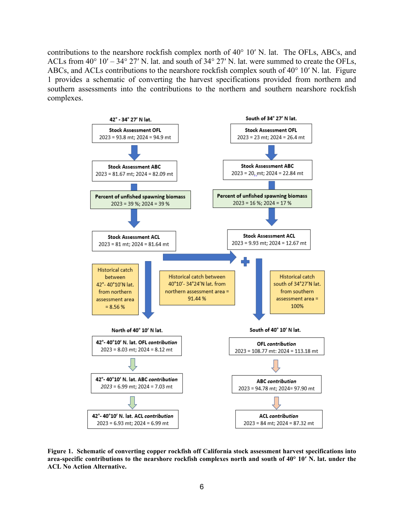contributions to the nearshore rockfish complex north of 40° 10′ N. lat. The OFLs, ABCs, and ACLs from 40° 10′ – 34° 27′ N. lat. and south of 34° 27′ N. lat. were summed to create the OFLs, ABCs, and ACLs contributions to the nearshore rockfish complex south of 40° 10′ N. lat. Figure 1 provides a schematic of converting the harvest specifications provided from northern and southern assessments into the contributions to the northern and southern nearshore rockfish complexes.



**Figure 1. Schematic of converting copper rockfish off California stock assessment harvest specifications into area-specific contributions to the nearshore rockfish complexes north and south of 40° 10′ N. lat. under the ACL No Action Alternative.**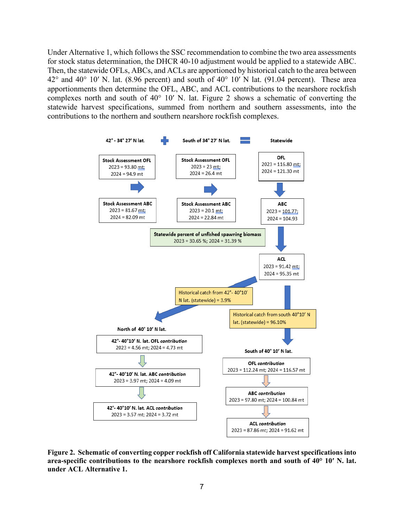Under Alternative 1, which follows the SSC recommendation to combine the two area assessments for stock status determination, the DHCR 40-10 adjustment would be applied to a statewide ABC. Then, the statewide OFLs, ABCs, and ACLs are apportioned by historical catch to the area between  $42^{\circ}$  and  $40^{\circ}$  10′ N. lat. (8.96 percent) and south of  $40^{\circ}$  10′ N lat. (91.04 percent). These area apportionments then determine the OFL, ABC, and ACL contributions to the nearshore rockfish complexes north and south of 40° 10′ N. lat. [Figure 2](#page-6-0) shows a schematic of converting the statewide harvest specifications, summed from northern and southern assessments, into the contributions to the northern and southern nearshore rockfish complexes.



<span id="page-6-0"></span>**Figure 2. Schematic of converting copper rockfish off California statewide harvest specifications into area-specific contributions to the nearshore rockfish complexes north and south of 40° 10′ N. lat. under ACL Alternative 1.**